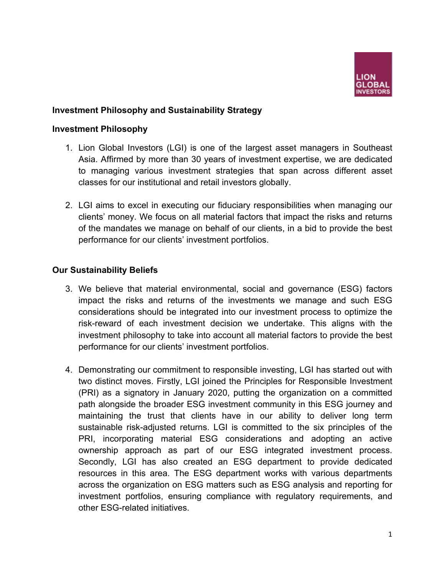

### **Investment Philosophy and Sustainability Strategy**

#### **Investment Philosophy**

- 1. Lion Global Investors (LGI) is one of the largest asset managers in Southeast Asia. Affirmed by more than 30 years of investment expertise, we are dedicated to managing various investment strategies that span across different asset classes for our institutional and retail investors globally.
- 2. LGI aims to excel in executing our fiduciary responsibilities when managing our clients' money. We focus on all material factors that impact the risks and returns of the mandates we manage on behalf of our clients, in a bid to provide the best performance for our clients' investment portfolios.

#### **Our Sustainability Beliefs**

- 3. We believe that material environmental, social and governance (ESG) factors impact the risks and returns of the investments we manage and such ESG considerations should be integrated into our investment process to optimize the risk-reward of each investment decision we undertake. This aligns with the investment philosophy to take into account all material factors to provide the best performance for our clients' investment portfolios.
- 4. Demonstrating our commitment to responsible investing, LGI has started out with two distinct moves. Firstly, LGI joined the Principles for Responsible Investment (PRI) as a signatory in January 2020, putting the organization on a committed path alongside the broader ESG investment community in this ESG journey and maintaining the trust that clients have in our ability to deliver long term sustainable risk-adjusted returns. LGI is committed to the six principles of the PRI, incorporating material ESG considerations and adopting an active ownership approach as part of our ESG integrated investment process. Secondly, LGI has also created an ESG department to provide dedicated resources in this area. The ESG department works with various departments across the organization on ESG matters such as ESG analysis and reporting for investment portfolios, ensuring compliance with regulatory requirements, and other ESG-related initiatives.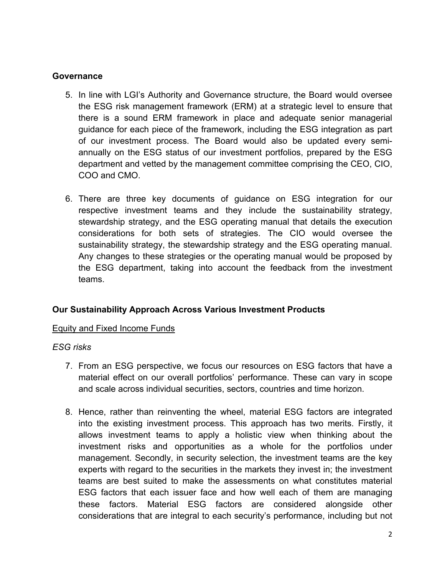### **Governance**

- 5. In line with LGI's Authority and Governance structure, the Board would oversee the ESG risk management framework (ERM) at a strategic level to ensure that there is a sound ERM framework in place and adequate senior managerial guidance for each piece of the framework, including the ESG integration as part of our investment process. The Board would also be updated every semiannually on the ESG status of our investment portfolios, prepared by the ESG department and vetted by the management committee comprising the CEO, CIO, COO and CMO.
- 6. There are three key documents of guidance on ESG integration for our respective investment teams and they include the sustainability strategy, stewardship strategy, and the ESG operating manual that details the execution considerations for both sets of strategies. The CIO would oversee the sustainability strategy, the stewardship strategy and the ESG operating manual. Any changes to these strategies or the operating manual would be proposed by the ESG department, taking into account the feedback from the investment teams.

# **Our Sustainability Approach Across Various Investment Products**

### Equity and Fixed Income Funds

### *ESG risks*

- 7. From an ESG perspective, we focus our resources on ESG factors that have a material effect on our overall portfolios' performance. These can vary in scope and scale across individual securities, sectors, countries and time horizon.
- 8. Hence, rather than reinventing the wheel, material ESG factors are integrated into the existing investment process. This approach has two merits. Firstly, it allows investment teams to apply a holistic view when thinking about the investment risks and opportunities as a whole for the portfolios under management. Secondly, in security selection, the investment teams are the key experts with regard to the securities in the markets they invest in; the investment teams are best suited to make the assessments on what constitutes material ESG factors that each issuer face and how well each of them are managing these factors. Material ESG factors are considered alongside other considerations that are integral to each security's performance, including but not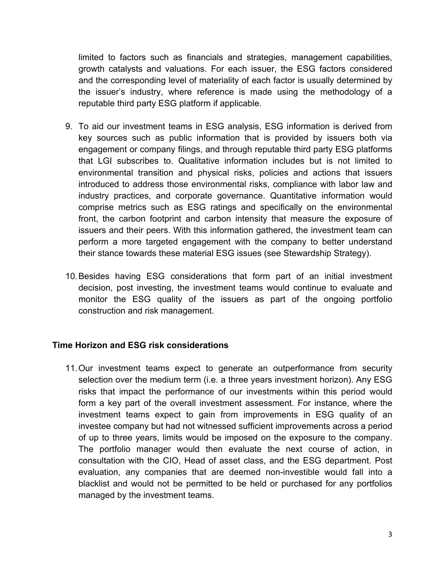limited to factors such as financials and strategies, management capabilities, growth catalysts and valuations. For each issuer, the ESG factors considered and the corresponding level of materiality of each factor is usually determined by the issuer's industry, where reference is made using the methodology of a reputable third party ESG platform if applicable.

- 9. To aid our investment teams in ESG analysis, ESG information is derived from key sources such as public information that is provided by issuers both via engagement or company filings, and through reputable third party ESG platforms that LGI subscribes to. Qualitative information includes but is not limited to environmental transition and physical risks, policies and actions that issuers introduced to address those environmental risks, compliance with labor law and industry practices, and corporate governance. Quantitative information would comprise metrics such as ESG ratings and specifically on the environmental front, the carbon footprint and carbon intensity that measure the exposure of issuers and their peers. With this information gathered, the investment team can perform a more targeted engagement with the company to better understand their stance towards these material ESG issues (see Stewardship Strategy).
- 10. Besides having ESG considerations that form part of an initial investment decision, post investing, the investment teams would continue to evaluate and monitor the ESG quality of the issuers as part of the ongoing portfolio construction and risk management.

### **Time Horizon and ESG risk considerations**

11. Our investment teams expect to generate an outperformance from security selection over the medium term (i.e. a three years investment horizon). Any ESG risks that impact the performance of our investments within this period would form a key part of the overall investment assessment. For instance, where the investment teams expect to gain from improvements in ESG quality of an investee company but had not witnessed sufficient improvements across a period of up to three years, limits would be imposed on the exposure to the company. The portfolio manager would then evaluate the next course of action, in consultation with the CIO, Head of asset class, and the ESG department. Post evaluation, any companies that are deemed non-investible would fall into a blacklist and would not be permitted to be held or purchased for any portfolios managed by the investment teams.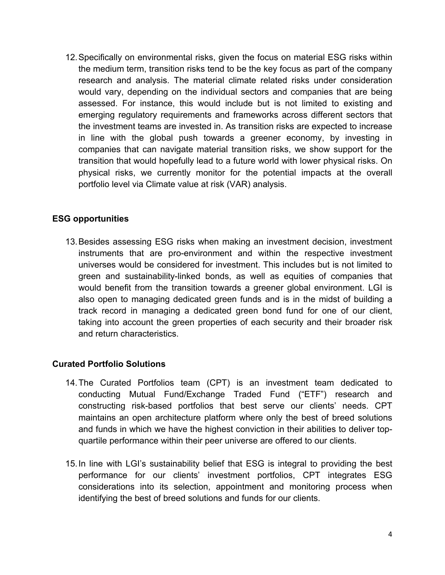12. Specifically on environmental risks, given the focus on material ESG risks within the medium term, transition risks tend to be the key focus as part of the company research and analysis. The material climate related risks under consideration would vary, depending on the individual sectors and companies that are being assessed. For instance, this would include but is not limited to existing and emerging regulatory requirements and frameworks across different sectors that the investment teams are invested in. As transition risks are expected to increase in line with the global push towards a greener economy, by investing in companies that can navigate material transition risks, we show support for the transition that would hopefully lead to a future world with lower physical risks. On physical risks, we currently monitor for the potential impacts at the overall portfolio level via Climate value at risk (VAR) analysis.

# **ESG opportunities**

13. Besides assessing ESG risks when making an investment decision, investment instruments that are pro-environment and within the respective investment universes would be considered for investment. This includes but is not limited to green and sustainability-linked bonds, as well as equities of companies that would benefit from the transition towards a greener global environment. LGI is also open to managing dedicated green funds and is in the midst of building a track record in managing a dedicated green bond fund for one of our client, taking into account the green properties of each security and their broader risk and return characteristics.

# **Curated Portfolio Solutions**

- 14. The Curated Portfolios team (CPT) is an investment team dedicated to conducting Mutual Fund/Exchange Traded Fund ("ETF") research and constructing risk-based portfolios that best serve our clients' needs. CPT maintains an open architecture platform where only the best of breed solutions and funds in which we have the highest conviction in their abilities to deliver topquartile performance within their peer universe are offered to our clients.
- 15. In line with LGI's sustainability belief that ESG is integral to providing the best performance for our clients' investment portfolios, CPT integrates ESG considerations into its selection, appointment and monitoring process when identifying the best of breed solutions and funds for our clients.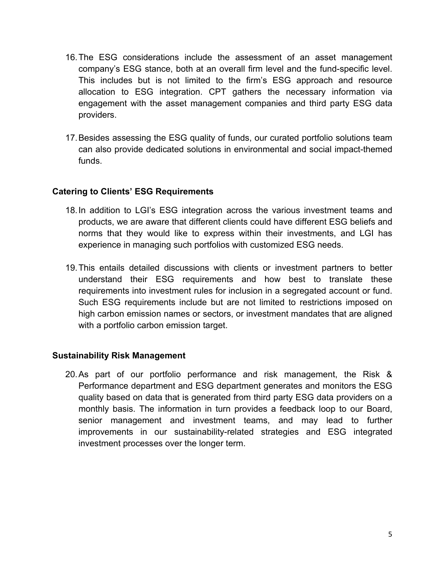- 16. The ESG considerations include the assessment of an asset management company's ESG stance, both at an overall firm level and the fund-specific level. This includes but is not limited to the firm's ESG approach and resource allocation to ESG integration. CPT gathers the necessary information via engagement with the asset management companies and third party ESG data providers.
- 17. Besides assessing the ESG quality of funds, our curated portfolio solutions team can also provide dedicated solutions in environmental and social impact-themed funds.

### **Catering to Clients' ESG Requirements**

- 18. In addition to LGI's ESG integration across the various investment teams and products, we are aware that different clients could have different ESG beliefs and norms that they would like to express within their investments, and LGI has experience in managing such portfolios with customized ESG needs.
- 19. This entails detailed discussions with clients or investment partners to better understand their ESG requirements and how best to translate these requirements into investment rules for inclusion in a segregated account or fund. Such ESG requirements include but are not limited to restrictions imposed on high carbon emission names or sectors, or investment mandates that are aligned with a portfolio carbon emission target.

### **Sustainability Risk Management**

20. As part of our portfolio performance and risk management, the Risk & Performance department and ESG department generates and monitors the ESG quality based on data that is generated from third party ESG data providers on a monthly basis. The information in turn provides a feedback loop to our Board, senior management and investment teams, and may lead to further improvements in our sustainability-related strategies and ESG integrated investment processes over the longer term.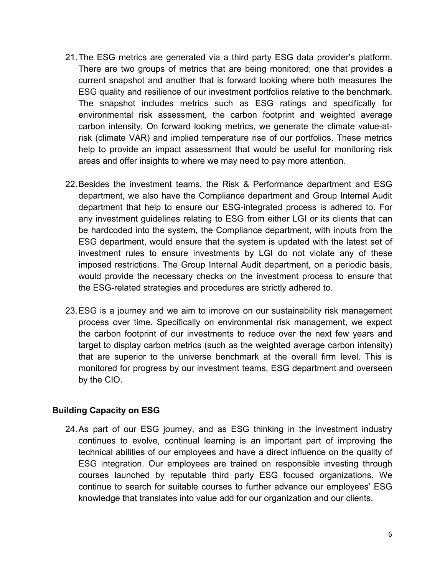- 21. The ESG metrics are generated via a third party ESG data provider's platform. There are two groups of metrics that are being monitored; one that provides a current snapshot and another that is forward looking where both measures the ESG quality and resilience of our investment portfolios relative to the benchmark. The snapshot includes metrics such as ESG ratings and specifically for environmental risk assessment, the carbon footprint and weighted average carbon intensity. On forward looking metrics, we generate the climate value-atrisk (climate VAR) and implied temperature rise of our portfolios. These metrics help to provide an impact assessment that would be useful for monitoring risk areas and offer insights to where we may need to pay more attention.
- 22. Besides the investment teams, the Risk & Performance department and ESG department, we also have the Compliance department and Group Internal Audit department that help to ensure our ESG-integrated process is adhered to. For any investment guidelines relating to ESG from either LGI or its clients that can be hardcoded into the system, the Compliance department, with inputs from the ESG department, would ensure that the system is updated with the latest set of investment rules to ensure investments by LGI do not violate any of these imposed restrictions. The Group Internal Audit department, on a periodic basis, would provide the necessary checks on the investment process to ensure that the ESG-related strategies and procedures are strictly adhered to.
- 23. ESG is a journey and we aim to improve on our sustainability risk management process over time. Specifically on environmental risk management, we expect the carbon footprint of our investments to reduce over the next few years and target to display carbon metrics (such as the weighted average carbon intensity) that are superior to the universe benchmark at the overall firm level. This is monitored for progress by our investment teams, ESG department and overseen by the CIO.

# **Building Capacity on ESG**

24. As part of our ESG journey, and as ESG thinking in the investment industry continues to evolve, continual learning is an important part of improving the technical abilities of our employees and have a direct influence on the quality of ESG integration. Our employees are trained on responsible investing through courses launched by reputable third party ESG focused organizations. We continue to search for suitable courses to further advance our employees' ESG knowledge that translates into value add for our organization and our clients.